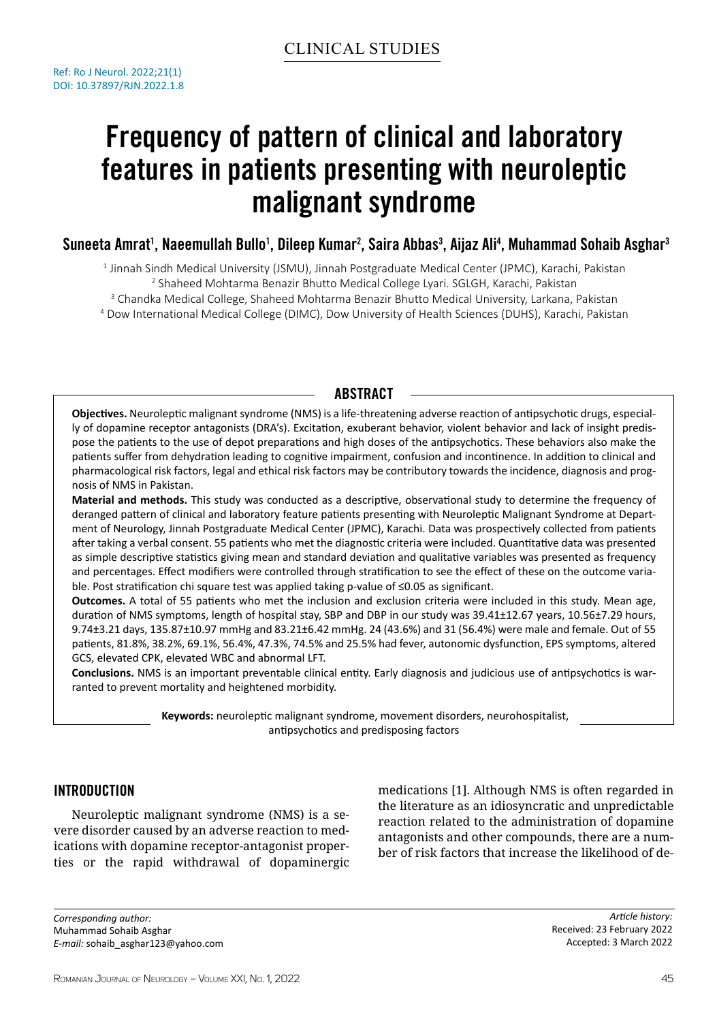# Frequency of pattern of clinical and laboratory features in patients presenting with neuroleptic malignant syndrome

# Suneeta Amrat<sup>1</sup>, Naeemullah Bullo<sup>1</sup>, Dileep Kumar<sup>2</sup>, Saira Abbas<sup>3</sup>, Aijaz Ali<sup>4</sup>, Muhammad Sohaib Asghar<sup>3</sup>

1 Jinnah Sindh Medical University (JSMU), Jinnah Postgraduate Medical Center (JPMC), Karachi, Pakistan 2 Shaheed Mohtarma Benazir Bhutto Medical College Lyari. SGLGH, Karachi, Pakistan

<sup>3</sup> Chandka Medical College, Shaheed Mohtarma Benazir Bhutto Medical University, Larkana, Pakistan

4 Dow International Medical College (DIMC), Dow University of Health Sciences (DUHS), Karachi, Pakistan

# **ABSTRACT**

**Objectives.** Neuroleptic malignant syndrome (NMS) is a life-threatening adverse reaction of antipsychotic drugs, especially of dopamine receptor antagonists (DRA's). Excitation, exuberant behavior, violent behavior and lack of insight predispose the patients to the use of depot preparations and high doses of the antipsychotics. These behaviors also make the patients suffer from dehydration leading to cognitive impairment, confusion and incontinence. In addition to clinical and pharmacological risk factors, legal and ethical risk factors may be contributory towards the incidence, diagnosis and prognosis of NMS in Pakistan.

**Material and methods.** This study was conducted as a descriptive, observational study to determine the frequency of deranged pattern of clinical and laboratory feature patients presenting with Neuroleptic Malignant Syndrome at Department of Neurology, Jinnah Postgraduate Medical Center (JPMC), Karachi. Data was prospectively collected from patients after taking a verbal consent. 55 patients who met the diagnostic criteria were included. Quantitative data was presented as simple descriptive statistics giving mean and standard deviation and qualitative variables was presented as frequency and percentages. Effect modifiers were controlled through stratification to see the effect of these on the outcome variable. Post stratification chi square test was applied taking p-value of ≤0.05 as significant.

**Outcomes.** A total of 55 patients who met the inclusion and exclusion criteria were included in this study. Mean age, duration of NMS symptoms, length of hospital stay, SBP and DBP in our study was 39.41±12.67 years, 10.56±7.29 hours, 9.74±3.21 days, 135.87±10.97 mmHg and 83.21±6.42 mmHg. 24 (43.6%) and 31 (56.4%) were male and female. Out of 55 patients, 81.8%, 38.2%, 69.1%, 56.4%, 47.3%, 74.5% and 25.5% had fever, autonomic dysfunction, EPS symptoms, altered GCS, elevated CPK, elevated WBC and abnormal LFT.

**Conclusions.** NMS is an important preventable clinical entity. Early diagnosis and judicious use of antipsychotics is warranted to prevent mortality and heightened morbidity.

> **Keywords:** neuroleptic malignant syndrome, movement disorders, neurohospitalist, antipsychotics and predisposing factors

# Introduction

Neuroleptic malignant syndrome (NMS) is a severe disorder caused by an adverse reaction to medications with dopamine receptor-antagonist properties or the rapid withdrawal of dopaminergic medications [1]. Although NMS is often regarded in the literature as an idiosyncratic and unpredictable reaction related to the administration of dopamine antagonists and other compounds, there are a number of risk factors that increase the likelihood of de-

*Corresponding author:* Muhammad Sohaib Asghar *E-mail:* sohaib\_asghar123@yahoo.com

*Article history:* Received: 23 February 2022 Accepted: 3 March 2022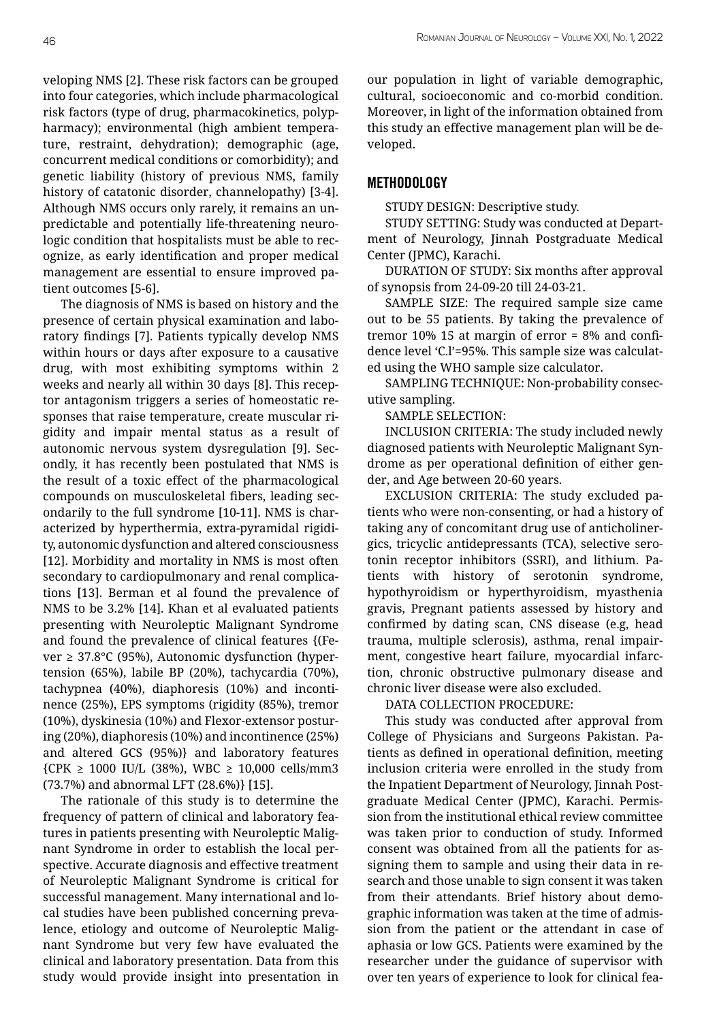veloping NMS [2]. These risk factors can be grouped into four categories, which include pharmacological risk factors (type of drug, pharmacokinetics, polypharmacy); environmental (high ambient temperature, restraint, dehydration); demographic (age, concurrent medical conditions or comorbidity); and genetic liability (history of previous NMS, family history of catatonic disorder, channelopathy) [3-4]. Although NMS occurs only rarely, it remains an unpredictable and potentially life-threatening neurologic condition that hospitalists must be able to recognize, as early identification and proper medical management are essential to ensure improved patient outcomes [5-6].

The diagnosis of NMS is based on history and the presence of certain physical examination and laboratory findings [7]. Patients typically develop NMS within hours or days after exposure to a causative drug, with most exhibiting symptoms within 2 weeks and nearly all within 30 days [8]. This receptor antagonism triggers a series of homeostatic responses that raise temperature, create muscular rigidity and impair mental status as a result of autonomic nervous system dysregulation [9]. Secondly, it has recently been postulated that NMS is the result of a toxic effect of the pharmacological compounds on musculoskeletal fibers, leading secondarily to the full syndrome [10-11]. NMS is characterized by hyperthermia, extra-pyramidal rigidity, autonomic dysfunction and altered consciousness [12]. Morbidity and mortality in NMS is most often secondary to cardiopulmonary and renal complications [13]. Berman et al found the prevalence of NMS to be 3.2% [14]. Khan et al evaluated patients presenting with Neuroleptic Malignant Syndrome and found the prevalence of clinical features {(Fe $ver$  ≥ 37.8 $°C$  (95%), Autonomic dysfunction (hypertension (65%), labile BP (20%), tachycardia (70%), tachypnea (40%), diaphoresis (10%) and incontinence (25%), EPS symptoms (rigidity (85%), tremor (10%), dyskinesia (10%) and Flexor-extensor posturing (20%), diaphoresis (10%) and incontinence (25%) and altered GCS (95%)} and laboratory features  ${CPK \geq 1000 \text{ IU/L} (38\%)}$ , WBC  $\geq 10,000 \text{ cells/mm3}$ (73.7%) and abnormal LFT (28.6%)} [15].

The rationale of this study is to determine the frequency of pattern of clinical and laboratory features in patients presenting with Neuroleptic Malignant Syndrome in order to establish the local perspective. Accurate diagnosis and effective treatment of Neuroleptic Malignant Syndrome is critical for successful management. Many international and local studies have been published concerning prevalence, etiology and outcome of Neuroleptic Malignant Syndrome but very few have evaluated the clinical and laboratory presentation. Data from this study would provide insight into presentation in our population in light of variable demographic, cultural, socioeconomic and co-morbid condition. Moreover, in light of the information obtained from this study an effective management plan will be developed.

# Methodology

STUDY DESIGN: Descriptive study.

STUDY SETTING: Study was conducted at Department of Neurology, Jinnah Postgraduate Medical Center (JPMC), Karachi.

DURATION OF STUDY: Six months after approval of synopsis from 24-09-20 till 24-03-21.

SAMPLE SIZE: The required sample size came out to be 55 patients. By taking the prevalence of tremor 10% 15 at margin of error  $= 8\%$  and confidence level 'C.l'=95%. This sample size was calculated using the WHO sample size calculator.

SAMPLING TECHNIQUE: Non-probability consecutive sampling.

SAMPLE SELECTION:

INCLUSION CRITERIA: The study included newly diagnosed patients with Neuroleptic Malignant Syndrome as per operational definition of either gender, and Age between 20-60 years.

EXCLUSION CRITERIA: The study excluded patients who were non-consenting, or had a history of taking any of concomitant drug use of anticholinergics, tricyclic antidepressants (TCA), selective serotonin receptor inhibitors (SSRI), and lithium. Patients with history of serotonin syndrome, hypothyroidism or hyperthyroidism, myasthenia gravis, Pregnant patients assessed by history and confirmed by dating scan, CNS disease (e.g, head trauma, multiple sclerosis), asthma, renal impairment, congestive heart failure, myocardial infarction, chronic obstructive pulmonary disease and chronic liver disease were also excluded.

DATA COLLECTION PROCEDURE:

This study was conducted after approval from College of Physicians and Surgeons Pakistan. Patients as defined in operational definition, meeting inclusion criteria were enrolled in the study from the Inpatient Department of Neurology, Jinnah Postgraduate Medical Center (JPMC), Karachi. Permission from the institutional ethical review committee was taken prior to conduction of study. Informed consent was obtained from all the patients for assigning them to sample and using their data in research and those unable to sign consent it was taken from their attendants. Brief history about demographic information was taken at the time of admission from the patient or the attendant in case of aphasia or low GCS. Patients were examined by the researcher under the guidance of supervisor with over ten years of experience to look for clinical fea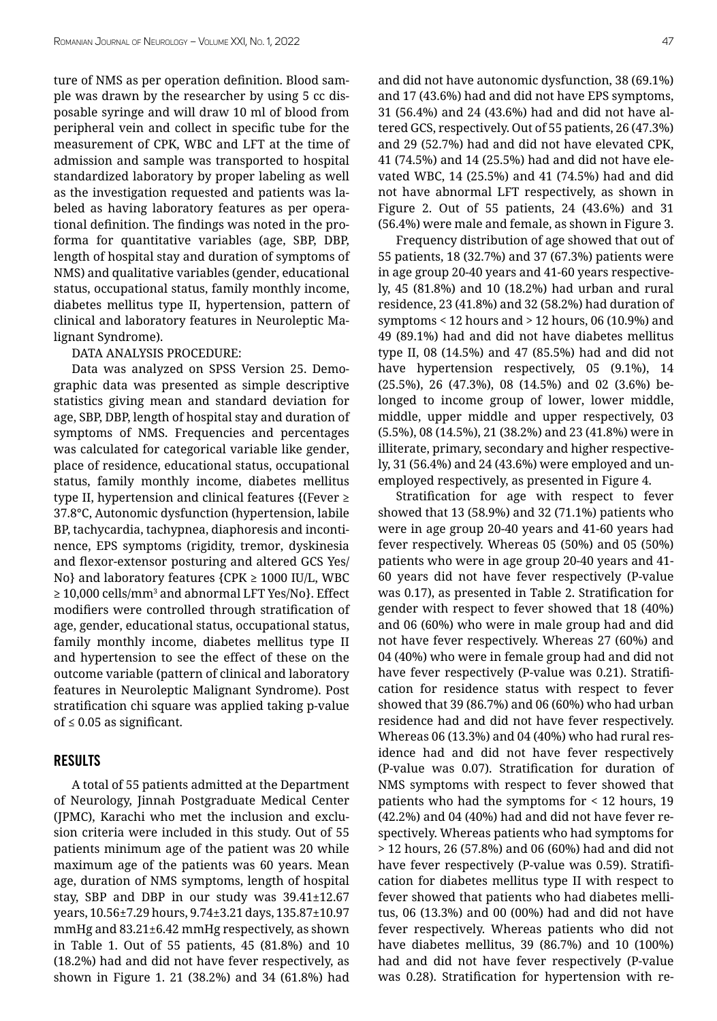ture of NMS as per operation definition. Blood sample was drawn by the researcher by using 5 cc disposable syringe and will draw 10 ml of blood from peripheral vein and collect in specific tube for the measurement of CPK, WBC and LFT at the time of admission and sample was transported to hospital standardized laboratory by proper labeling as well as the investigation requested and patients was labeled as having laboratory features as per operational definition. The findings was noted in the proforma for quantitative variables (age, SBP, DBP, length of hospital stay and duration of symptoms of NMS) and qualitative variables (gender, educational status, occupational status, family monthly income, diabetes mellitus type II, hypertension, pattern of clinical and laboratory features in Neuroleptic Malignant Syndrome).

#### DATA ANALYSIS PROCEDURE:

Data was analyzed on SPSS Version 25. Demographic data was presented as simple descriptive statistics giving mean and standard deviation for age, SBP, DBP, length of hospital stay and duration of symptoms of NMS. Frequencies and percentages was calculated for categorical variable like gender, place of residence, educational status, occupational status, family monthly income, diabetes mellitus type II, hypertension and clinical features  ${Fever \geq 1}$ 37.8°C, Autonomic dysfunction (hypertension, labile BP, tachycardia, tachypnea, diaphoresis and incontinence, EPS symptoms (rigidity, tremor, dyskinesia and flexor-extensor posturing and altered GCS Yes/ No} and laboratory features  ${CPK \geq 1000 \text{ IU/L, WBC}}$ ≥ 10,000 cells/mm<sup>3</sup> and abnormal LFT Yes/No}. Effect modifiers were controlled through stratification of age, gender, educational status, occupational status, family monthly income, diabetes mellitus type II and hypertension to see the effect of these on the outcome variable (pattern of clinical and laboratory features in Neuroleptic Malignant Syndrome). Post stratification chi square was applied taking p-value of ≤ 0.05 as significant.

## Results

A total of 55 patients admitted at the Department of Neurology, Jinnah Postgraduate Medical Center (JPMC), Karachi who met the inclusion and exclusion criteria were included in this study. Out of 55 patients minimum age of the patient was 20 while maximum age of the patients was 60 years. Mean age, duration of NMS symptoms, length of hospital stay, SBP and DBP in our study was 39.41±12.67 years, 10.56±7.29 hours, 9.74±3.21 days, 135.87±10.97 mmHg and 83.21±6.42 mmHg respectively, as shown in Table 1. Out of 55 patients, 45 (81.8%) and 10 (18.2%) had and did not have fever respectively, as shown in Figure 1. 21 (38.2%) and 34 (61.8%) had and did not have autonomic dysfunction, 38 (69.1%) and 17 (43.6%) had and did not have EPS symptoms, 31 (56.4%) and 24 (43.6%) had and did not have altered GCS, respectively. Out of 55 patients, 26 (47.3%) and 29 (52.7%) had and did not have elevated CPK, 41 (74.5%) and 14 (25.5%) had and did not have elevated WBC, 14 (25.5%) and 41 (74.5%) had and did not have abnormal LFT respectively, as shown in Figure 2. Out of 55 patients, 24 (43.6%) and 31 (56.4%) were male and female, as shown in Figure 3.

Frequency distribution of age showed that out of 55 patients, 18 (32.7%) and 37 (67.3%) patients were in age group 20-40 years and 41-60 years respectively, 45 (81.8%) and 10 (18.2%) had urban and rural residence, 23 (41.8%) and 32 (58.2%) had duration of symptoms < 12 hours and > 12 hours, 06 (10.9%) and 49 (89.1%) had and did not have diabetes mellitus type II, 08 (14.5%) and 47 (85.5%) had and did not have hypertension respectively, 05 (9.1%), 14 (25.5%), 26 (47.3%), 08 (14.5%) and 02 (3.6%) belonged to income group of lower, lower middle, middle, upper middle and upper respectively, 03 (5.5%), 08 (14.5%), 21 (38.2%) and 23 (41.8%) were in illiterate, primary, secondary and higher respectively, 31 (56.4%) and 24 (43.6%) were employed and unemployed respectively, as presented in Figure 4.

Stratification for age with respect to fever showed that 13 (58.9%) and 32 (71.1%) patients who were in age group 20-40 years and 41-60 years had fever respectively. Whereas 05 (50%) and 05 (50%) patients who were in age group 20-40 years and 41- 60 years did not have fever respectively (P-value was 0.17), as presented in Table 2. Stratification for gender with respect to fever showed that 18 (40%) and 06 (60%) who were in male group had and did not have fever respectively. Whereas 27 (60%) and 04 (40%) who were in female group had and did not have fever respectively (P-value was 0.21). Stratification for residence status with respect to fever showed that 39 (86.7%) and 06 (60%) who had urban residence had and did not have fever respectively. Whereas 06 (13.3%) and 04 (40%) who had rural residence had and did not have fever respectively (P-value was 0.07). Stratification for duration of NMS symptoms with respect to fever showed that patients who had the symptoms for < 12 hours, 19 (42.2%) and 04 (40%) had and did not have fever respectively. Whereas patients who had symptoms for > 12 hours, 26 (57.8%) and 06 (60%) had and did not have fever respectively (P-value was 0.59). Stratification for diabetes mellitus type II with respect to fever showed that patients who had diabetes mellitus, 06 (13.3%) and 00 (00%) had and did not have fever respectively. Whereas patients who did not have diabetes mellitus, 39 (86.7%) and 10 (100%) had and did not have fever respectively (P-value was 0.28). Stratification for hypertension with re-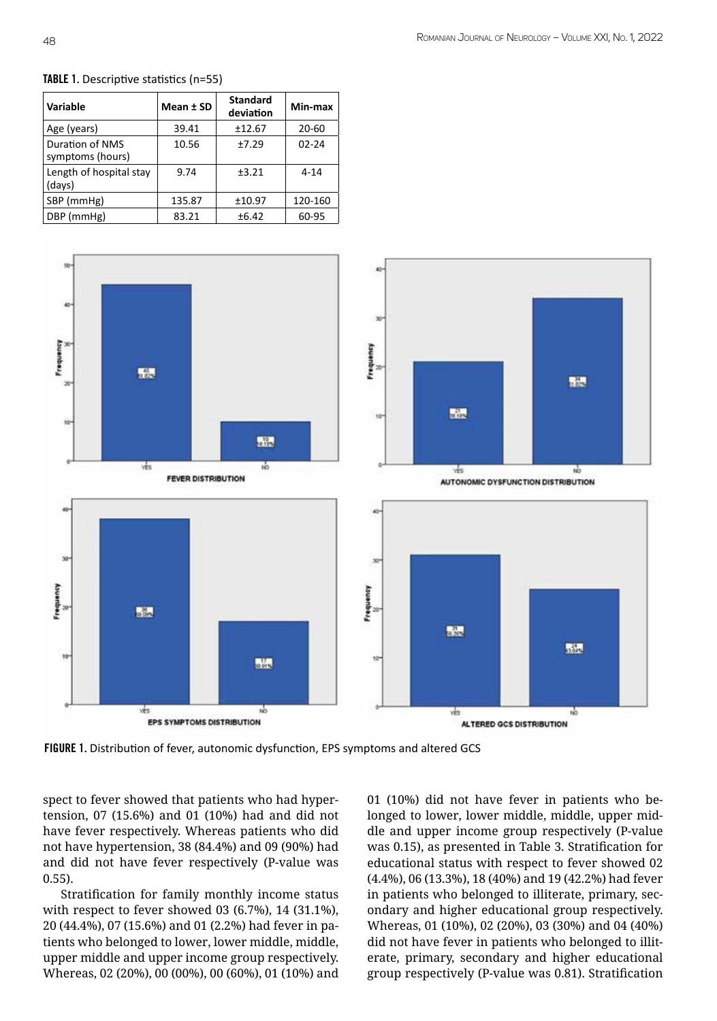

### TABLE 1. Descriptive statistics (n=55)



FIGURE 1. Distribution of fever, autonomic dysfunction, EPS symptoms and altered GCS

spect to fever showed that patients who had hypertension, 07 (15.6%) and 01 (10%) had and did not have fever respectively. Whereas patients who did not have hypertension, 38 (84.4%) and 09 (90%) had and did not have fever respectively (P-value was 0.55).

Stratification for family monthly income status with respect to fever showed 03 (6.7%), 14 (31.1%), 20 (44.4%), 07 (15.6%) and 01 (2.2%) had fever in patients who belonged to lower, lower middle, middle, upper middle and upper income group respectively. Whereas, 02 (20%), 00 (00%), 00 (60%), 01 (10%) and

01 (10%) did not have fever in patients who belonged to lower, lower middle, middle, upper middle and upper income group respectively (P-value was 0.15), as presented in Table 3. Stratification for educational status with respect to fever showed 02 (4.4%), 06 (13.3%), 18 (40%) and 19 (42.2%) had fever in patients who belonged to illiterate, primary, secondary and higher educational group respectively. Whereas, 01 (10%), 02 (20%), 03 (30%) and 04 (40%) did not have fever in patients who belonged to illiterate, primary, secondary and higher educational group respectively (P-value was 0.81). Stratification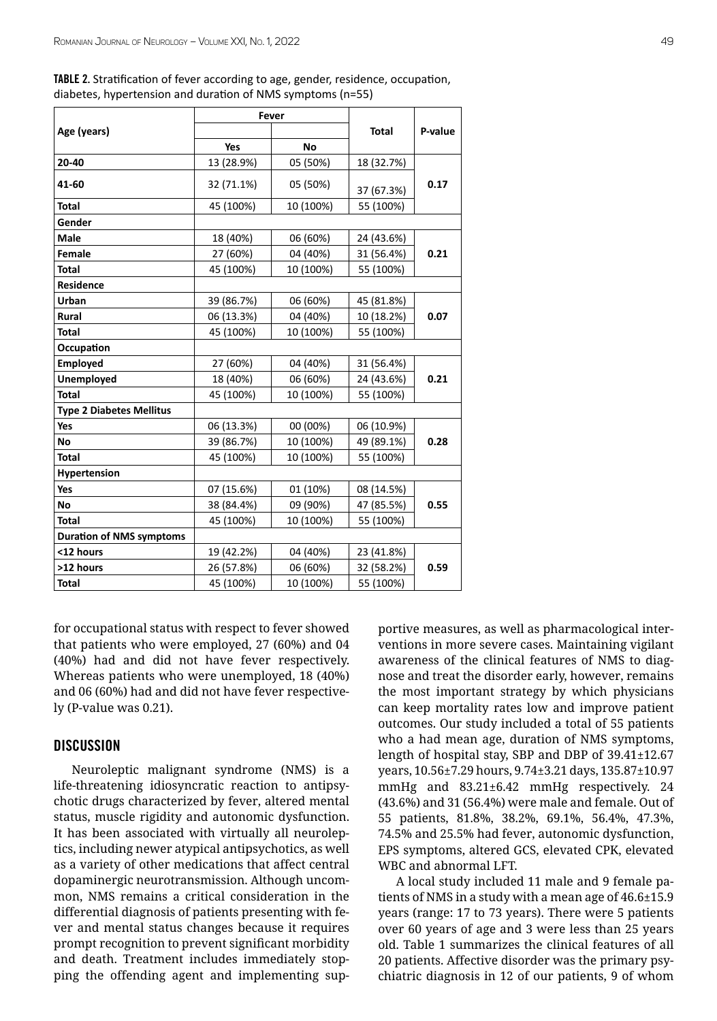TABLE 2. Stratification of fever according to age, gender, residence, occupation, diabetes, hypertension and duration of NMS symptoms (n=55)

|                                 | Fever      |           |              |         |  |
|---------------------------------|------------|-----------|--------------|---------|--|
| Age (years)                     |            |           | <b>Total</b> | P-value |  |
|                                 | Yes        | <b>No</b> |              |         |  |
| 20-40                           | 13 (28.9%) | 05 (50%)  | 18 (32.7%)   |         |  |
| 41-60                           | 32 (71.1%) | 05 (50%)  | 37 (67.3%)   | 0.17    |  |
| <b>Total</b>                    | 45 (100%)  | 10 (100%) | 55 (100%)    |         |  |
| Gender                          |            |           |              |         |  |
| Male                            | 18 (40%)   | 06 (60%)  | 24 (43.6%)   |         |  |
| Female                          | 27 (60%)   | 04 (40%)  | 31 (56.4%)   | 0.21    |  |
| <b>Total</b>                    | 45 (100%)  | 10 (100%) | 55 (100%)    |         |  |
| <b>Residence</b>                |            |           |              |         |  |
| Urban                           | 39 (86.7%) | 06 (60%)  | 45 (81.8%)   |         |  |
| Rural                           | 06 (13.3%) | 04 (40%)  | 10 (18.2%)   | 0.07    |  |
| <b>Total</b>                    | 45 (100%)  | 10 (100%) | 55 (100%)    |         |  |
| Occupation                      |            |           |              |         |  |
| <b>Employed</b>                 | 27 (60%)   | 04 (40%)  | 31 (56.4%)   |         |  |
| <b>Unemployed</b>               | 18 (40%)   | 06 (60%)  | 24 (43.6%)   | 0.21    |  |
| <b>Total</b>                    | 45 (100%)  | 10 (100%) | 55 (100%)    |         |  |
| <b>Type 2 Diabetes Mellitus</b> |            |           |              |         |  |
| Yes                             | 06 (13.3%) | 00 (00%)  | 06 (10.9%)   |         |  |
| No                              | 39 (86.7%) | 10 (100%) | 49 (89.1%)   | 0.28    |  |
| <b>Total</b>                    | 45 (100%)  | 10 (100%) | 55 (100%)    |         |  |
| Hypertension                    |            |           |              |         |  |
| Yes                             | 07 (15.6%) | 01 (10%)  | 08 (14.5%)   |         |  |
| <b>No</b>                       | 38 (84.4%) | 09 (90%)  | 47 (85.5%)   | 0.55    |  |
| <b>Total</b>                    | 45 (100%)  | 10 (100%) | 55 (100%)    |         |  |
| <b>Duration of NMS symptoms</b> |            |           |              |         |  |
| <12 hours                       | 19 (42.2%) | 04 (40%)  | 23 (41.8%)   |         |  |
| >12 hours                       | 26 (57.8%) | 06 (60%)  | 32 (58.2%)   | 0.59    |  |
| <b>Total</b>                    | 45 (100%)  | 10 (100%) | 55 (100%)    |         |  |

for occupational status with respect to fever showed that patients who were employed, 27 (60%) and 04 (40%) had and did not have fever respectively. Whereas patients who were unemployed, 18 (40%) and 06 (60%) had and did not have fever respectively (P-value was 0.21).

## **DISCUSSION**

Neuroleptic malignant syndrome (NMS) is a life-threatening idiosyncratic reaction to antipsychotic drugs characterized by fever, altered mental status, muscle rigidity and autonomic dysfunction. It has been associated with virtually all neuroleptics, including newer atypical antipsychotics, as well as a variety of other medications that affect central dopaminergic neurotransmission. Although uncommon, NMS remains a critical consideration in the differential diagnosis of patients presenting with fever and mental status changes because it requires prompt recognition to prevent significant morbidity and death. Treatment includes immediately stopping the offending agent and implementing supportive measures, as well as pharmacological interventions in more severe cases. Maintaining vigilant awareness of the clinical features of NMS to diagnose and treat the disorder early, however, remains the most important strategy by which physicians can keep mortality rates low and improve patient outcomes. Our study included a total of 55 patients who a had mean age, duration of NMS symptoms, length of hospital stay, SBP and DBP of 39.41±12.67 years, 10.56±7.29 hours, 9.74±3.21 days, 135.87±10.97 mmHg and 83.21±6.42 mmHg respectively. 24 (43.6%) and 31 (56.4%) were male and female. Out of 55 patients, 81.8%, 38.2%, 69.1%, 56.4%, 47.3%, 74.5% and 25.5% had fever, autonomic dysfunction, EPS symptoms, altered GCS, elevated CPK, elevated WBC and abnormal LFT.

A local study included 11 male and 9 female patients of NMS in a study with a mean age of 46.6±15.9 years (range: 17 to 73 years). There were 5 patients over 60 years of age and 3 were less than 25 years old. Table 1 summarizes the clinical features of all 20 patients. Affective disorder was the primary psychiatric diagnosis in 12 of our patients, 9 of whom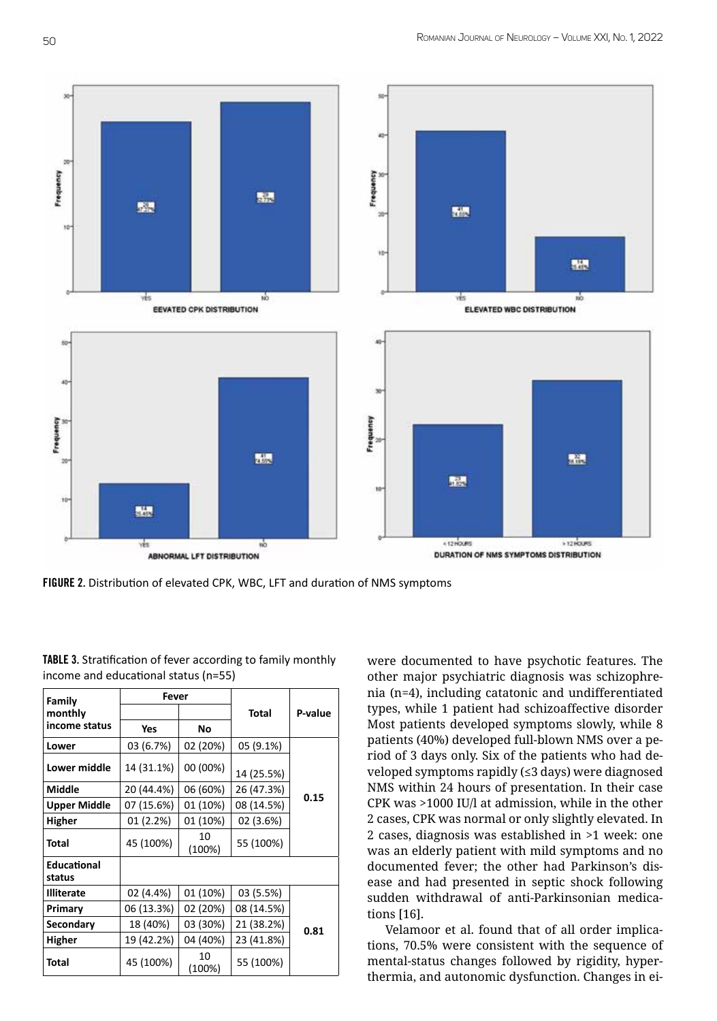

FIGURE 2. Distribution of elevated CPK, WBC, LFT and duration of NMS symptoms

| Family                       | Fever      |              |            |         |  |
|------------------------------|------------|--------------|------------|---------|--|
| monthly                      |            |              | Total      | P-value |  |
| income status                | Yes        | No           |            |         |  |
| Lower                        | 03 (6.7%)  | 02 (20%)     | 05 (9.1%)  |         |  |
| Lower middle                 | 14 (31.1%) | 00 (00%)     | 14 (25.5%) | 0.15    |  |
| Middle                       | 20 (44.4%) | 06 (60%)     | 26 (47.3%) |         |  |
| <b>Upper Middle</b>          | 07 (15.6%) | 01 (10%)     | 08 (14.5%) |         |  |
| <b>Higher</b>                | 01 (2.2%)  | 01 (10%)     | 02 (3.6%)  |         |  |
| Total                        | 45 (100%)  | 10<br>(100%) | 55 (100%)  |         |  |
| <b>Educational</b><br>status |            |              |            |         |  |
| <b>Illiterate</b>            | 02 (4.4%)  | 01 (10%)     | 03 (5.5%)  |         |  |
| Primary                      | 06 (13.3%) | 02 (20%)     | 08 (14.5%) | 0.81    |  |
| Secondary                    | 18 (40%)   | 03 (30%)     | 21 (38.2%) |         |  |
| Higher                       | 19 (42.2%) | 04 (40%)     | 23 (41.8%) |         |  |
| Total                        | 45 (100%)  | 10<br>(100%) | 55 (100%)  |         |  |

TABLE 3. Stratification of fever according to family monthly income and educational status (n=55)

were documented to have psychotic features. The other major psychiatric diagnosis was schizophrenia (n=4), including catatonic and undifferentiated types, while 1 patient had schizoaffective disorder Most patients developed symptoms slowly, while 8 patients (40%) developed full-blown NMS over a period of 3 days only. Six of the patients who had developed symptoms rapidly (≤3 days) were diagnosed NMS within 24 hours of presentation. In their case CPK was >1000 IU/l at admission, while in the other 2 cases, CPK was normal or only slightly elevated. In 2 cases, diagnosis was established in >1 week: one was an elderly patient with mild symptoms and no documented fever; the other had Parkinson's disease and had presented in septic shock following sudden withdrawal of anti-Parkinsonian medications [16].

Velamoor et al. found that of all order implications, 70.5% were consistent with the sequence of mental-status changes followed by rigidity, hyperthermia, and autonomic dysfunction. Changes in ei-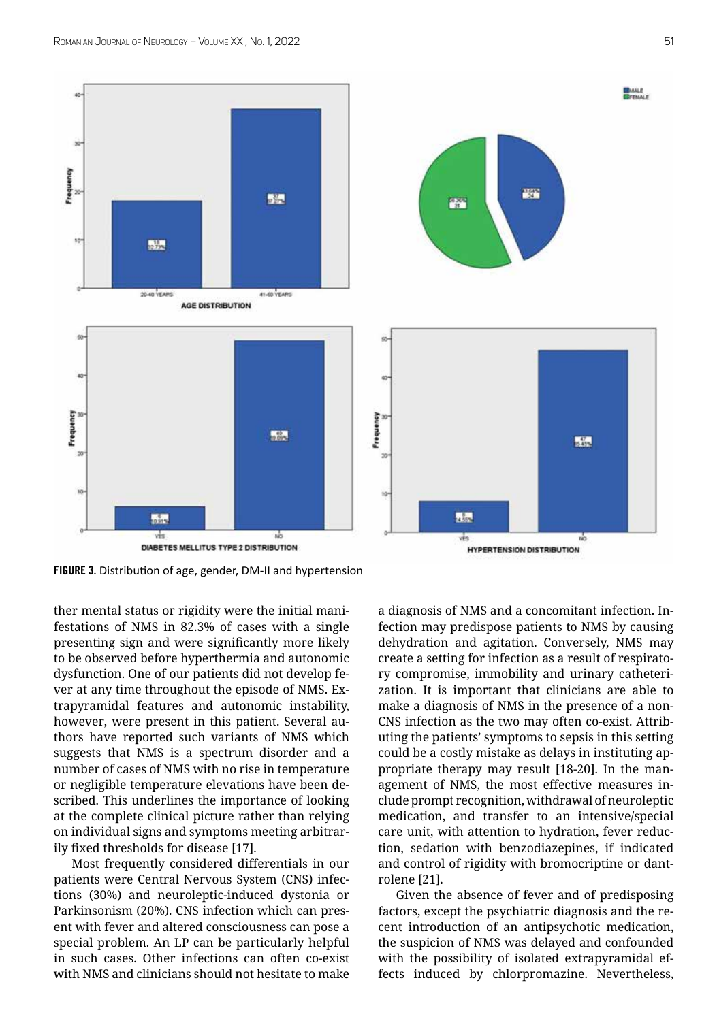



FIGURE 3. Distribution of age, gender, DM-II and hypertension

ther mental status or rigidity were the initial manifestations of NMS in 82.3% of cases with a single presenting sign and were significantly more likely to be observed before hyperthermia and autonomic dysfunction. One of our patients did not develop fever at any time throughout the episode of NMS. Extrapyramidal features and autonomic instability, however, were present in this patient. Several authors have reported such variants of NMS which suggests that NMS is a spectrum disorder and a number of cases of NMS with no rise in temperature or negligible temperature elevations have been described. This underlines the importance of looking at the complete clinical picture rather than relying on individual signs and symptoms meeting arbitrarily fixed thresholds for disease [17].

Most frequently considered differentials in our patients were Central Nervous System (CNS) infections (30%) and neuroleptic-induced dystonia or Parkinsonism (20%). CNS infection which can present with fever and altered consciousness can pose a special problem. An LP can be particularly helpful in such cases. Other infections can often co-exist with NMS and clinicians should not hesitate to make a diagnosis of NMS and a concomitant infection. Infection may predispose patients to NMS by causing dehydration and agitation. Conversely, NMS may create a setting for infection as a result of respiratory compromise, immobility and urinary catheterization. It is important that clinicians are able to make a diagnosis of NMS in the presence of a non-CNS infection as the two may often co-exist. Attributing the patients' symptoms to sepsis in this setting could be a costly mistake as delays in instituting appropriate therapy may result [18-20]. In the management of NMS, the most effective measures include prompt recognition, withdrawal of neuroleptic medication, and transfer to an intensive/special care unit, with attention to hydration, fever reduction, sedation with benzodiazepines, if indicated and control of rigidity with bromocriptine or dantrolene [21].

Given the absence of fever and of predisposing factors, except the psychiatric diagnosis and the recent introduction of an antipsychotic medication, the suspicion of NMS was delayed and confounded with the possibility of isolated extrapyramidal effects induced by chlorpromazine. Nevertheless,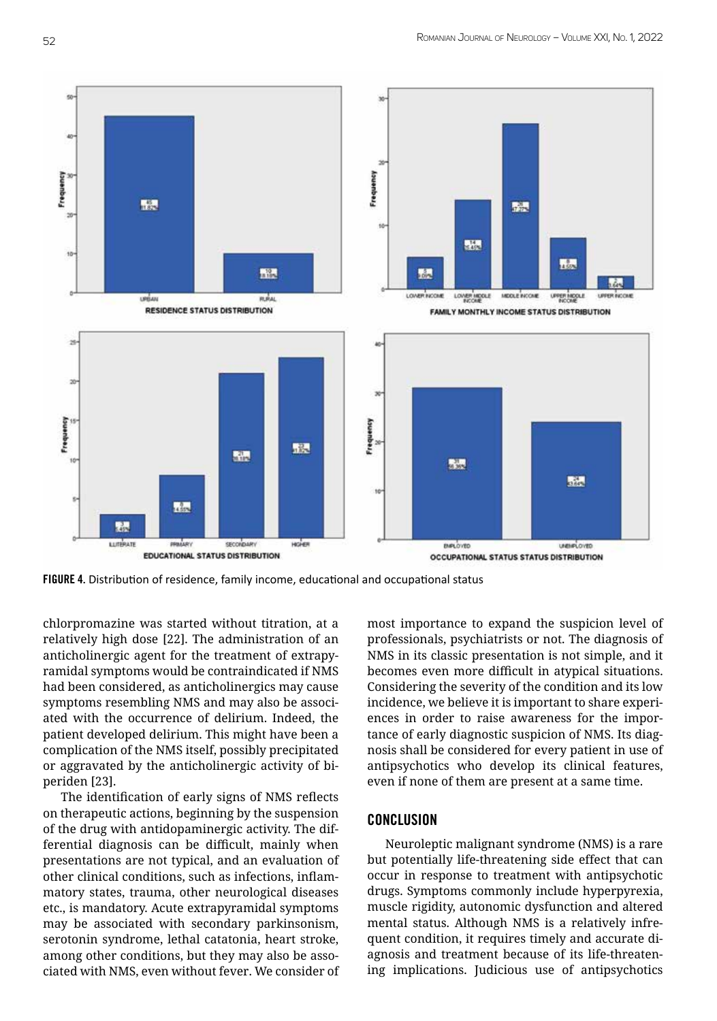

FIGURE 4. Distribution of residence, family income, educational and occupational status

chlorpromazine was started without titration, at a relatively high dose [22]. The administration of an anticholinergic agent for the treatment of extrapyramidal symptoms would be contraindicated if NMS had been considered, as anticholinergics may cause symptoms resembling NMS and may also be associated with the occurrence of delirium. Indeed, the patient developed delirium. This might have been a complication of the NMS itself, possibly precipitated or aggravated by the anticholinergic activity of biperiden [23].

The identification of early signs of NMS reflects on therapeutic actions, beginning by the suspension of the drug with antidopaminergic activity. The differential diagnosis can be difficult, mainly when presentations are not typical, and an evaluation of other clinical conditions, such as infections, inflammatory states, trauma, other neurological diseases etc., is mandatory. Acute extrapyramidal symptoms may be associated with secondary parkinsonism, serotonin syndrome, lethal catatonia, heart stroke, among other conditions, but they may also be associated with NMS, even without fever. We consider of most importance to expand the suspicion level of professionals, psychiatrists or not. The diagnosis of NMS in its classic presentation is not simple, and it becomes even more difficult in atypical situations. Considering the severity of the condition and its low incidence, we believe it is important to share experiences in order to raise awareness for the importance of early diagnostic suspicion of NMS. Its diagnosis shall be considered for every patient in use of antipsychotics who develop its clinical features, even if none of them are present at a same time.

## **CONCLUSION**

Neuroleptic malignant syndrome (NMS) is a rare but potentially life-threatening side effect that can occur in response to treatment with antipsychotic drugs. Symptoms commonly include hyperpyrexia, muscle rigidity, autonomic dysfunction and altered mental status. Although NMS is a relatively infrequent condition, it requires timely and accurate diagnosis and treatment because of its life-threatening implications. Judicious use of antipsychotics